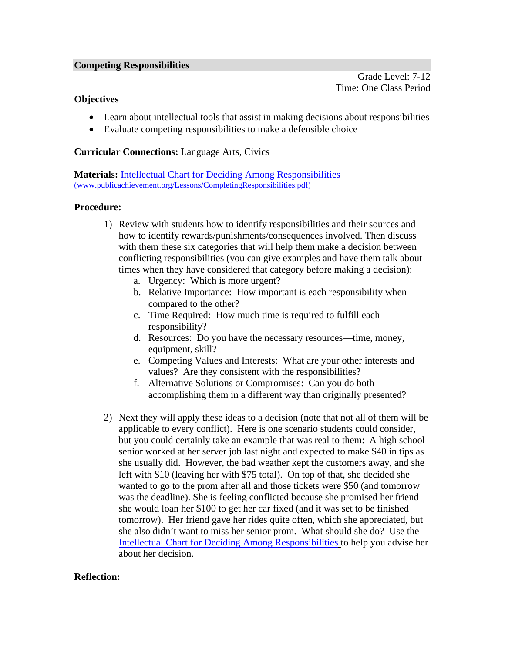#### **Competing Responsibilities**

Grade Level: 7-12 Time: One Class Period

# **Objectives**

- Learn about intellectual tools that assist in making decisions about responsibilities
- Evaluate competing responsibilities to make a defensible choice

### **Curricular Connections:** Language Arts, Civics

**Materials:** Intellectual Chart for Deciding Among Responsibilities (www.publicachievement.org/Lessons/CompletingResponsibilities.pdf)

#### **Procedure:**

- 1) Review with students how to identify responsibilities and their sources and how to identify rewards/punishments/consequences involved. Then discuss with them these six categories that will help them make a decision between conflicting responsibilities (you can give examples and have them talk about times when they have considered that category before making a decision):
	- a. Urgency: Which is more urgent?
	- b. Relative Importance: How important is each responsibility when compared to the other?
	- c. Time Required: How much time is required to fulfill each responsibility?
	- d. Resources: Do you have the necessary resources—time, money, equipment, skill?
	- e. Competing Values and Interests: What are your other interests and values? Are they consistent with the responsibilities?
	- f. Alternative Solutions or Compromises: Can you do both accomplishing them in a different way than originally presented?
- 2) Next they will apply these ideas to a decision (note that not all of them will be applicable to every conflict). Here is one scenario students could consider, but you could certainly take an example that was real to them: A high school senior worked at her server job last night and expected to make \$40 in tips as she usually did. However, the bad weather kept the customers away, and she left with \$10 (leaving her with \$75 total). On top of that, she decided she wanted to go to the prom after all and those tickets were \$50 (and tomorrow was the deadline). She is feeling conflicted because she promised her friend she would loan her \$100 to get her car fixed (and it was set to be finished tomorrow). Her friend gave her rides quite often, which she appreciated, but she also didn't want to miss her senior prom. What should she do? Use the Intellectual Chart for Deciding Among Responsibilities to help you advise her about her decision.

# **Reflection:**